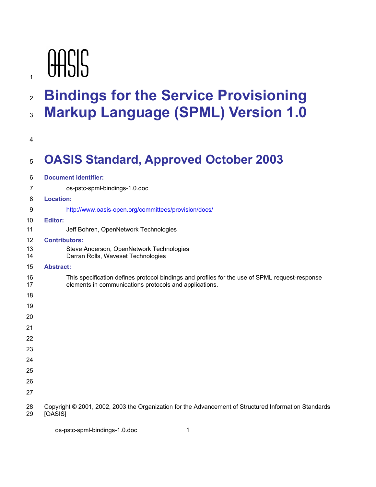# **OASIS**

## **Bindings for the Service Provisioning Markup Language (SPML) Version 1.0**

## **OASIS Standard, Approved October 2003**

| 6        | <b>Document identifier:</b>                                                                                                                              |  |  |  |
|----------|----------------------------------------------------------------------------------------------------------------------------------------------------------|--|--|--|
| 7        | os-pstc-spml-bindings-1.0.doc                                                                                                                            |  |  |  |
| 8        | <b>Location:</b>                                                                                                                                         |  |  |  |
| 9        | http://www.oasis-open.org/committees/provision/docs/                                                                                                     |  |  |  |
| 10       | <b>Editor:</b>                                                                                                                                           |  |  |  |
| 11       | Jeff Bohren, OpenNetwork Technologies                                                                                                                    |  |  |  |
| 12       | <b>Contributors:</b>                                                                                                                                     |  |  |  |
| 13<br>14 | Steve Anderson, OpenNetwork Technologies<br>Darran Rolls, Waveset Technologies                                                                           |  |  |  |
| 15       | <b>Abstract:</b>                                                                                                                                         |  |  |  |
| 16<br>17 | This specification defines protocol bindings and profiles for the use of SPML request-response<br>elements in communications protocols and applications. |  |  |  |
| 18       |                                                                                                                                                          |  |  |  |
| 19       |                                                                                                                                                          |  |  |  |
| 20       |                                                                                                                                                          |  |  |  |
| 21       |                                                                                                                                                          |  |  |  |
| 22       |                                                                                                                                                          |  |  |  |
| 23       |                                                                                                                                                          |  |  |  |
| 24       |                                                                                                                                                          |  |  |  |
| 25       |                                                                                                                                                          |  |  |  |
| 26       |                                                                                                                                                          |  |  |  |
| 27       |                                                                                                                                                          |  |  |  |
| 28<br>29 | Copyright © 2001, 2002, 2003 the Organization for the Advancement of Structured Information Standards<br>[OASIS]                                         |  |  |  |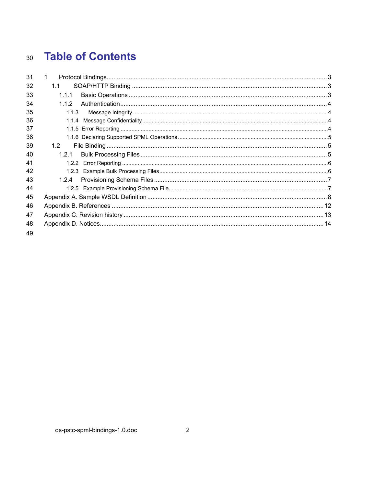#### **Table of Contents**  $30<sup>°</sup>$

| 31 | $\mathbf 1$ |  |
|----|-------------|--|
| 32 | 1.1         |  |
| 33 | 1.1.1       |  |
| 34 | 1.1.2       |  |
| 35 | 1.1.3       |  |
| 36 | 1.1.4       |  |
| 37 |             |  |
| 38 |             |  |
| 39 | 1.2         |  |
| 40 | 1.2.1       |  |
| 41 |             |  |
| 42 |             |  |
| 43 | 1.2.4       |  |
| 44 |             |  |
| 45 |             |  |
| 46 |             |  |
| 47 |             |  |
| 48 |             |  |
| 49 |             |  |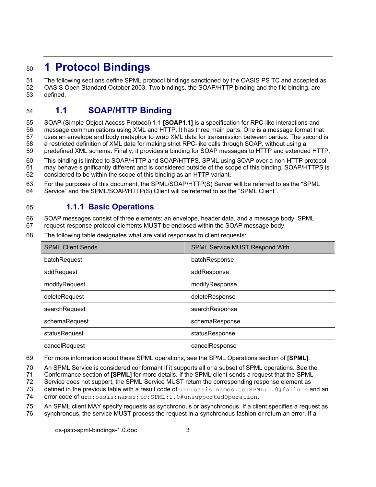## <sup>50</sup>**1 Protocol Bindings**

51 The following sections define SPML protocol bindings sanctioned by the OASIS PS TC and accepted as 52 OASIS Open Standard October 2003. Two bindings, the SOAP/HTTP binding and the file binding, are

53 defined.

#### 54 **1.1 SOAP/HTTP Binding**

55 SOAP (Simple Object Access Protocol) 1.1 **[SOAP1.1]** is a specification for RPC-like interactions and 56 message communications using XML and HTTP. It has three main parts. One is a message format that

57 uses an envelope and body metaphor to wrap XML data for transmission between parties. The second is

58 a restricted definition of XML data for making strict RPC-like calls through SOAP, without using a

59 predefined XML schema. Finally, it provides a binding for SOAP messages to HTTP and extended HTTP.

60 This binding is limited to SOAP/HTTP and SOAP/HTTPS. SPML using SOAP over a non-HTTP protocol 61 may behave significantly different and is considered outside of the scope of this binding. SOAP/HTTPS is

62 considered to be within the scope of this binding as an HTTP variant.

63 For the purposes of this document, the SPML/SOAP/HTTP(S) Server will be referred to as the "SPML 64 Service" and the SPML/SOAP/HTTP(S) Client will be referred to as the "SPML Client".

## 65 **1.1.1 Basic Operations**

66 SOAP messages consist of three elements: an envelope, header data, and a message body. SPML

67 request-response protocol elements MUST be enclosed within the SOAP message body.

68 The following table designates what are valid responses to client requests:

| <b>SPML Client Sends</b> | <b>SPML Service MUST Respond With</b> |  |
|--------------------------|---------------------------------------|--|
| batchRequest             | batchResponse                         |  |
| addRequest               | addResponse                           |  |
| modifyRequest            | modifyResponse                        |  |
| deleteRequest            | deleteResponse                        |  |
| searchRequest            | searchResponse                        |  |
| schemaRequest            | schemaResponse                        |  |
| statusRequest            | statusResponse                        |  |
| cancelRequest            | cancelResponse                        |  |

69 For more information about these SPML operations, see the SPML Operations section of **[SPML]**.

70 An SPML Service is considered conformant if it supports all or a subset of SPML operations. See the

71 Conformance section of **[SPML]** for more details. If the SPML client sends a request that the SPML

72 Service does not support, the SPML Service MUST return the corresponding response element as

73 defined in the previous table with a result code of urn: oasis: names: tc: SPML: 1.0#failure and an

74 error code of urn: oasis: names: tc: SPML: 1.0 #unsupportedOperation.

75 An SPML client MAY specify requests as synchronous or asynchronous. If a client specifies a request as

76 synchronous, the service MUST process the request in a synchronous fashion or return an error. If a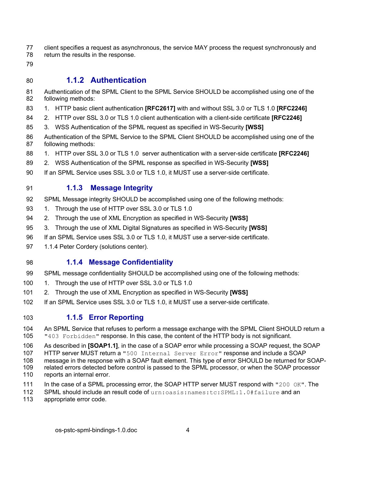- 77 client specifies a request as asynchronous, the service MAY process the request synchronously and
- 78 return the results in the response.
- 79

#### 80 **1.1.2 Authentication**

- 81 Authentication of the SPML Client to the SPML Service SHOULD be accomplished using one of the 82 following methods:
- 83 1. HTTP basic client authentication **[RFC2617]** with and without SSL 3.0 or TLS 1.0 **[RFC2246]**
- 84 2. HTTP over SSL 3.0 or TLS 1.0 client authentication with a client-side certificate **[RFC2246]**
- 85 3. WSS Authentication of the SPML request as specified in WS-Security **[WSS]**
- 86 Authentication of the SPML Service to the SPML Client SHOULD be accomplished using one of the 87 following methods:
- 88 1. HTTP over SSL 3.0 or TLS 1.0 server authentication with a server-side certificate **[RFC2246]**
- 89 2. WSS Authentication of the SPML response as specified in WS-Security **[WSS]**
- 90 If an SPML Service uses SSL 3.0 or TLS 1.0, it MUST use a server-side certificate.

#### 91 **1.1.3 Message Integrity**

- 92 SPML Message integrity SHOULD be accomplished using one of the following methods:
- 93 1. Through the use of HTTP over SSL 3.0 or TLS 1.0
- 94 2. Through the use of XML Encryption as specified in WS-Security **[WSS]**
- 95 3. Through the use of XML Digital Signatures as specified in WS-Security **[WSS]**
- 96 If an SPML Service uses SSL 3.0 or TLS 1.0, it MUST use a server-side certificate.
- 97 1.1.4 Peter Cordery (solutions center).

#### 98 **1.1.4 Message Confidentiality**

- 99 SPML message confidentiality SHOULD be accomplished using one of the following methods:
- 100 1. Through the use of HTTP over SSL 3.0 or TLS 1.0
- 101 2. Through the use of XML Encryption as specified in WS-Security **[WSS]**
- 102 If an SPML Service uses SSL 3.0 or TLS 1.0, it MUST use a server-side certificate.

#### 103 **1.1.5 Error Reporting**

- 104 An SPML Service that refuses to perform a message exchange with the SPML Client SHOULD return a 105 "403 Forbidden" response. In this case, the content of the HTTP body is not significant.
- 106 As described in **[SOAP1.1]**, in the case of a SOAP error while processing a SOAP request, the SOAP
- 107 HTTP server MUST return a "500 Internal Server Error" response and include a SOAP
- 108 message in the response with a SOAP fault element. This type of error SHOULD be returned for SOAP-
- 109 related errors detected before control is passed to the SPML processor, or when the SOAP processor 110 reports an internal error.
- 111 In the case of a SPML processing error, the SOAP HTTP server MUST respond with "200 OK". The
- 112 SPML should include an result code of urn:oasis:names:tc:SPML:1.0#failure and an
- 113 appropriate error code.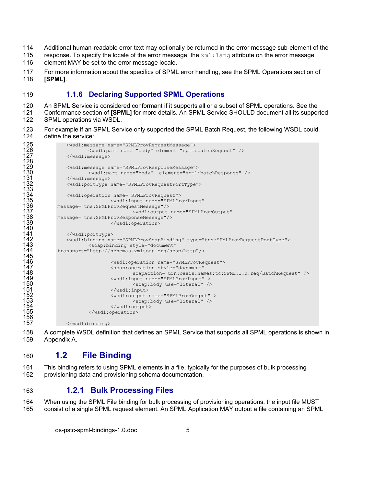- 114 Additional human-readable error text may optionally be returned in the error message sub-element of the
- 115 response. To specify the locale of the error message, the  $xm1:1$  ang attribute on the error message
- 116 element MAY be set to the error message locale.
- 117 For more information about the specifics of SPML error handling, see the SPML Operations section of 118 **[SPML]**.

#### 119 **1.1.6 Declaring Supported SPML Operations**

120 An SPML Service is considered conformant if it supports all or a subset of SPML operations. See the 121 Conformance section of **[SPML]** for more details. An SPML Service SHOULD document all its supported 122 SPML operations via WSDL.

123 For example if an SPML Service only supported the SPML Batch Request, the following WSDL could 124 define the service:

```
125 <wsdl:message name="SPMLProvRequestMessage"> 
                            126 <wsdl:part name="body" element="spml:batchRequest" /> 
                   </wsdl:message>
125<br>126<br>127<br>129<br>130<br>130
                  129 <wsdl:message name="SPMLProvResponseMessage"> 
                            130 <wsdl:part name="body" element="spml:batchResponse" /> 
                   </wsdl:message>
                  132 <wsdl:portType name="SPMLProvRequestPortType"> 
132<br>133<br>1334<br>135<br>136<br>137<br>138
                  134 <wsdl:operation name="SPMLProvRequest"> 
                                      135 <wsdl:input name="SPMLProvInput" 
               136 message="tns:SPMLProvRequestMessage"/> 
                                               137 <wsdl:output name="SPMLProvOutput" 
138 message="tns:SPMLProvResponseMessage"/> 
                                      </wsdl:operation>
140 
                  141 </wsdl:portType> 
                   142 <wsdl:binding name="SPMLProvSoapBinding" type="tns:SPMLProvRequestPortType"> 
                            143 <soap:binding style="document" 
               144 transport="http://schemas.xmlsoap.org/soap/http"/> 
142<br>143<br>144<br>145<br>146<br>147<br>148<br>150
                                      146 <wsdl:operation name="SPMLProvRequest"> 
                                      147 <soap:operation style="document" 
                                               148 soapAction="urn:oasis:names:tc:SPML:1:0:req/BatchRequest" /> 
                                      149 <wsdl:input name="SPMLProvInput" > 
150 <soap:body use="literal" /><br>151 </wsdl:input><br>152 <wsdl:output name="SPMLProvOutput"<br>153 </wsdl:output><br>154 </wsdl:output>
                                      \langle/wsdl:input>
                                      152 <wsdl:output name="SPMLProvOutput" > 
                                               153 <soap:body use="literal" /> 
                                      </wsdl:output>
                            </wsdl:operation>
155<br>156<br>157
                   157 </wsdl:binding>
```
158 A complete WSDL definition that defines an SPML Service that supports all SPML operations is shown in 159 Appendix A.

#### 160 **1.2 File Binding**

161 This binding refers to using SPML elements in a file, typically for the purposes of bulk processing 162 provisioning data and provisioning schema documentation.

#### 163 **1.2.1 Bulk Processing Files**

164 When using the SPML File binding for bulk processing of provisioning operations, the input file MUST 165 consist of a single SPML request element. An SPML Application MAY output a file containing an SPML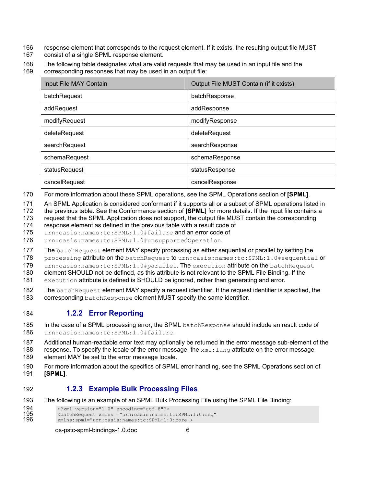- 166 response element that corresponds to the request element. If it exists, the resulting output file MUST
- 167 consist of a single SPML response element.
- 168 The following table designates what are valid requests that may be used in an input file and the
- 169 corresponding responses that may be used in an output file:

| Input File MAY Contain | Output File MUST Contain (if it exists) |  |
|------------------------|-----------------------------------------|--|
| batchRequest           | batchResponse                           |  |
| addRequest             | addResponse                             |  |
| modifyRequest          | modifyResponse                          |  |
| deleteRequest          | deleteRequest                           |  |
| searchRequest          | searchResponse                          |  |
| schemaRequest          | schemaResponse                          |  |
| statusRequest          | statusResponse                          |  |
| cancelRequest          | cancelResponse                          |  |

- 170 For more information about these SPML operations, see the SPML Operations section of **[SPML]**.
- 171 An SPML Application is considered conformant if it supports all or a subset of SPML operations listed in
- 172 the previous table. See the Conformance section of **[SPML]** for more details. If the input file contains a
- 173 request that the SPML Application does not support, the output file MUST contain the corresponding
- 174 response element as defined in the previous table with a result code of
- 175 urn:oasis:names:tc:SPML:1.0#failure and an error code of
- 176 urn:oasis:names:tc:SPML:1.0#unsupportedOperation.
- 177 The batchRequest element MAY specify processing as either sequential or parallel by setting the
- 178 processing attribute on the batchRequest to urn:oasis:names:tc:SPML:1.0#sequential or
- 179 urn: oasis: names: tc: SPML: 1.0 #parallel. The execution attribute on the batchRequest

180 element SHOULD not be defined, as this attribute is not relevant to the SPML File Binding. If the

- 181 execution attribute is defined is SHOULD be ignored, rather than generating and error.
- 182 The batchRequest element MAY specify a request identifier. If the request identifier is specified, the 183<br>183 Corresponding batchResponse element MUST specify the same identifier. corresponding batchResponse element MUST specify the same identifier.
- 

#### 184 **1.2.2 Error Reporting**

- 185 In the case of a SPML processing error, the SPML batchResponse should include an result code of
- 186 urn:oasis:names:tc:SPML:1.0#failure.
- 187 Additional human-readable error text may optionally be returned in the error message sub-element of the
- 188 response. To specify the locale of the error message, the  $xml:$  lang attribute on the error message 189 element MAY be set to the error message locale.
- 190 For more information about the specifics of SPML error handling, see the SPML Operations section of 191 **[SPML]**.

#### 192 **1.2.3 Example Bulk Processing Files**

- 193 The following is an example of an SPML Bulk Processing File using the SPML File Binding:
- 194 <?xml version="1.0" encoding="utf-8"?>

```
195 <batchRequest xmlns ="urn:oasis:names:tc:SPML:1:0:req"
```

```
196 xmlns:spml="urn:oasis:names:tc:SPML:1:0:core">
```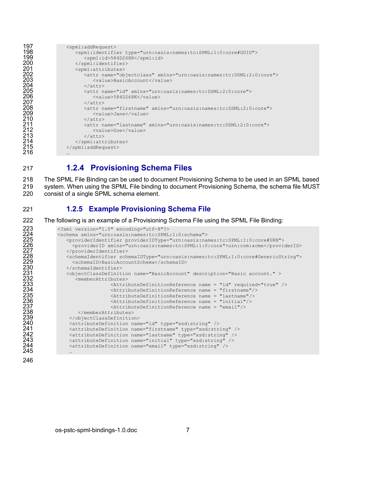```
197 <spml:addRequest><br>198 <spml:identifi
198 <spml:identifier type="urn:oasis:names:tc:SPML:1:0:core#GUID"><br>199 <spml:id>584D268K</spml:id>
199 <spml:id>584D268K</spml:id><br>200 </spml:identifier>
200 </spml:identifier><br>
201 </spml:attributes><br>
202 <attr name="obj<br>
203 <attr name="obj<br>
203 </attr><br>
205 </attr><br>
205 </attr><br>
207 </attr><br>
207 </attr><br>
207 </attr><br>
207 </attr><br>
209 </attr><br>
210 </attr><br>
211 </attr><br>
21
                           <spml:attributes>
                                202 <attr name="objectclass" xmlns="urn:oasis:names:tc:DSML:2:0:core"> 
                                      <value>BasicAccount</value>
                                 \langleattr>
                                205 <attr name="id" xmlns="urn:oasis:names:tc:DSML:2:0:core"> 
                                     <value>584D268K</value>
                                 \langleattr>
                                 208 <attr name="firstname" xmlns="urn:oasis:names:tc:DSML:2:0:core"> 
                                      <value>Jane</value>
                                 \langle/attr>
                                 211 <attr name="lastname" xmlns="urn:oasis:names:tc:DSML:2:0:core"> 
                                     \langle \text{value}\rangleDoe\langle \text{value}\rangle\langleattr>
                            </spml:attributes>
                       </spml:addRequest>
213<br>214<br>215<br>216
```
#### 217 **1.2.4 Provisioning Schema Files**

218 The SPML File Binding can be used to document Provisioning Schema to be used in an SPML based 219 system. When using the SPML File binding to document Provisioning Schema, the schema file MUST 220 consist of a single SPML schema element.

#### 221 **1.2.5 Example Provisioning Schema File**

222 The following is an example of a Provisioning Schema File using the SPML File Binding:

```
223 <radion="1.0" encoding="utf-8"?><br>
224 <schema xmlns="urn:oasis:names:tc:SFML<br>
225 <providerIdentifier providerIDType="226 <providerIdentifier><br>
227 </providerIdentifier><br>
228 </providerIdentifier><br>
229 </providerIdenti
               224 <schema xmlns="urn:oasis:names:tc:SPML:1:0:schema"> 
                   225 <providerIdentifier providerIDType="urn:oasis:names:tc:SPML:1:0:core#URN"> 
                      226 <providerID xmlns="urn:oasis:names:tc:SPML:1:0:core">urn:com:acme</providerID> 
                   </providerIdentifier>
                   228 <schemaIdentifier schemaIDType="urn:oasis:names:tc:SPML:1:0:core#GenericString"> 
                      229 <schemaID>BasicAccountSchema</schemaID> 
                   </schemaIdentifier>
                   231 <objectClassDefinition name="BasicAccount" description="Basic account." > 
                        <memberAttributes>
                                        233 <AttributeDefinitionReference name = "id" required="true" /> 
                                        234 <AttributeDefinitionReference name = "firstname"/> 
                                        235 <AttributeDefinitionReference name = "lastname"/> 
                                        \forallAttributeDefinitionReference name = "initial"/>
                                        \forallAttributeDefinitionReference name = "email"/>
                         </memberAttributes>
                     </objectClassDefinition>
240 <attributeDefinition name="id" type="xsd:string" /><br>241 <attributeDefinition name="firstname" type="xsd:string" <attributeDefinition name="lastname" type="xsd:stri
                     241 <attributeDefinition name="firstname" type="xsd:string" /> 
242 <attributeDefinition name="lastname" type="xsd:string" /><br>243 <attributeDefinition name="initial" type="xsd:string" />
243 <attributeDefinition name="initial" type="xsd:string" /> 
                     244 <attributeDefinition name="email" type="xsd:string" />
```
245 … 246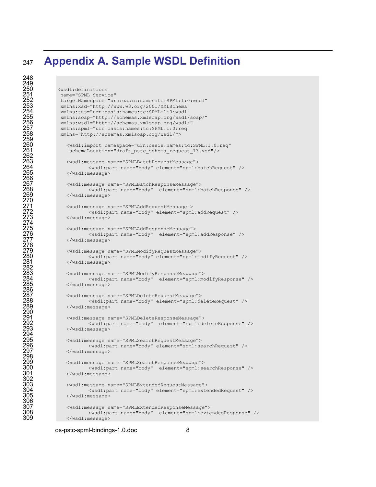## **Appendix A. Sample WSDL Definition**

targetNamespace="urn:oasis:names:tc:SPML:1:0:wsdl" xmlns:xsd="http://www.w3.org/2001/XMLSchema"

<wsdl:definitions name="SPML Service"

```
248 
249 
259 
262 
266 
270 
274 
278 
282 
286 
290 
294 
298 
302 
306<br>307
```

```
254 xmlns:tns="urn:oasis:names:tc:SPML:1:0:wsdl" 
             255 xmlns:soap="http://schemas.xmlsoap.org/wsdl/soap/" 
             256 xmlns:wsdl="http://schemas.xmlsoap.org/wsdl/" 
             257 xmlns:spml="urn:oasis:names:tc:SPML:1:0:req" 
             258 xmlns="http://schemas.xmlsoap.org/wsdl/"> 
               260 <wsdl:import namespace="urn:oasis:names:tc:SPML:1:0:req" 
                schemaLocation="draft pstc schema request 13.xsd"/>
               263 <wsdl:message name="SPMLBatchRequestMessage"> 
                       264 <wsdl:part name="body" element="spml:batchRequest" /> 
               </wsdl:message>
               267 <wsdl:message name="SPMLBatchResponseMessage"> 
                       268 <wsdl:part name="body" element="spml:batchResponse" /> 
               </wsdl:message>
               271 <wsdl:message name="SPMLAddRequestMessage"> 
                       272 <wsdl:part name="body" element="spml:addRequest" /> 
               </wsdl:message>
               275 <wsdl:message name="SPMLAddResponseMessage"> 
                       276 <wsdl:part name="body" element="spml:addResponse" /> 
               </wsdl:message>
               279 <wsdl:message name="SPMLModifyRequestMessage"> 
                       280 <wsdl:part name="body" element="spml:modifyRequest" /> 
               </wsdl:message>
               283 <wsdl:message name="SPMLModifyResponseMessage"> 
                       284 <wsdl:part name="body" element="spml:modifyResponse" /> 
               \langle/wsdl:message>
               287 <wsdl:message name="SPMLDeleteRequestMessage"> 
                        288 <wsdl:part name="body" element="spml:deleteRequest" /> 
               \langle/wsdl:message>
               291 <wsdl:message name="SPMLDeleteResponseMessage"> 
                       292 <wsdl:part name="body" element="spml:deleteResponse" /> 
               </wsdl:message>
               295 <wsdl:message name="SPMLSearchRequestMessage"> 
                       296 <wsdl:part name="body" element="spml:searchRequest" /> 
               </wsdl:message>
               299 <wsdl:message name="SPMLSearchResponseMessage"> 
                       300 <wsdl:part name="body" element="spml:searchResponse" /> 
               </wsdl:message>
               303 <wsdl:message name="SPMLExtendedRequestMessage"> 
                       304 <wsdl:part name="body" element="spml:extendedRequest" /> 
               305 </wsdl:message> 
307 <wsdl:message name="SPMLExtendedResponseMessage"> 
308 <wsdl:part name="body" element="spml:extendedResponse" /> 
               309 </wsdl:message>
```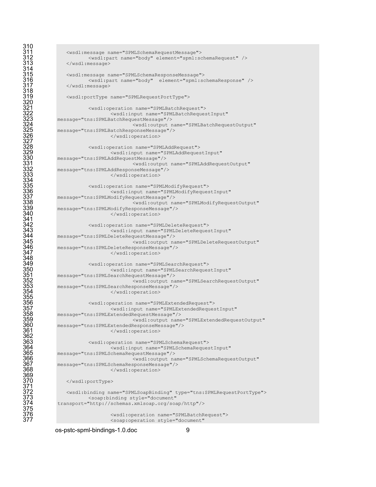```
310 
314 
318 
320 
327 
334 
341 
348 
355 
362 
369 
371 
375
```

```
311 <wsdl:message name="SPMLSchemaRequestMessage"> 
           312 <wsdl:part name="body" element="spml:schemaRequest" /> 
   </wsdl:message>
   315 <wsdl:message name="SPMLSchemaResponseMessage"> 
            316 <wsdl:part name="body" element="spml:schemaResponse" /> 
   317 </wsdl:message> 
   319 <wsdl:portType name="SPMLRequestPortType"> 
            321 <wsdl:operation name="SPMLBatchRequest"> 
                    322 <wsdl:input name="SPMLBatchRequestInput" 
323 message="tns:SPMLBatchRequestMessage"/> 
                            324 <wsdl:output name="SPMLBatchRequestOutput" 
325 message="tns:SPMLBatchResponseMessage"/> 
                    326 </wsdl:operation> 
            328 <wsdl:operation name="SPMLAddRequest"> 
                    329 <wsdl:input name="SPMLAddRequestInput" 
330 message="tns:SPMLAddRequestMessage"/> 
                            331 <wsdl:output name="SPMLAddRequestOutput" 
332 message="tns:SPMLAddResponseMessage"/> 
                    333 </wsdl:operation> 
           335 <wsdl:operation name="SPMLModifyRequest"> 
                    336 <wsdl:input name="SPMLModifyRequestInput" 
337 message="tns:SPMLModifyRequestMessage"/> 
                            338 <wsdl:output name="SPMLModifyRequestOutput" 
339 message="tns:SPMLModifyResponseMessage"/> 
                    </wsdl:operation>
            342 <wsdl:operation name="SPMLDeleteRequest"> 
                    343 <wsdl:input name="SPMLDeleteRequestInput" 
344 message="tns:SPMLDeleteRequestMessage"/> 
                            345 <wsdl:output name="SPMLDeleteRequestOutput" 
346 message="tns:SPMLDeleteResponseMessage"/> 
                    347 </wsdl:operation> 
           349 <wsdl:operation name="SPMLSearchRequest"> 
                    350 <wsdl:input name="SPMLSearchRequestInput" 
351 message="tns:SPMLSearchRequestMessage"/> 
                            352 <wsdl:output name="SPMLSearchRequestOutput" 
353 message="tns:SPMLSearchResponseMessage"/> 
                    354 </wsdl:operation> 
            356 <wsdl:operation name="SPMLExtendedRequest"> 
                    357 <wsdl:input name="SPMLExtendedRequestInput" 
358 message="tns:SPMLExtendedRequestMessage"/> 
                             359 <wsdl:output name="SPMLExtendedRequestOutput" 
360 message="tns:SPMLExtendedResponseMessage"/> 
                    361 </wsdl:operation> 
            363 <wsdl:operation name="SPMLSchemaRequest"> 
                    364 <wsdl:input name="SPMLSchemaRequestInput" 
365 message="tns:SPMLSchemaRequestMessage"/> 
                            366 <wsdl:output name="SPMLSchemaRequestOutput" 
367 message="tns:SPMLSchemaResponseMessage"/> 
                    368 </wsdl:operation> 
   370 </wsdl:portType> 
   372 <wsdl:binding name="SPMLSoapBinding" type="tns:SPMLRequestPortType"> 
            373 <soap:binding style="document" 
374 transport="http://schemas.xmlsoap.org/soap/http"/> 
                    376 <wsdl:operation name="SPMLBatchRequest">
```
<soap:operation style="document"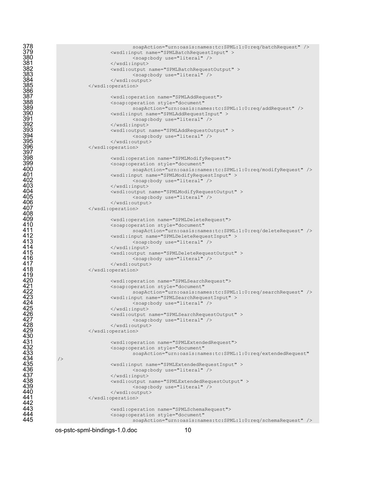378 soapAction="urn:oasis:names:tc:SPML:1:0:req/batchRequest" /><br>379 <wsdl:input name="SPMLBatchRequestInput" ><br>380 </wsdl:input> </wsdl:input> </wsdl:input> <wsdl:input name="SPMLBatchRequestInput" > <soap:body use="literal" />  $\langle$ /wsdl:input> <wsdl:output name="SPMLBatchRequestOutput" > <soap:body use="literal" /> </wsdl:output> </wsdl:operation> <wsdl:operation name="SPMLAddRequest"> <soap:operation style="document" soapAction="urn:oasis:names:tc:SPML:1:0:req/addRequest" /> <wsdl:input name="SPMLAddRequestInput" > <soap:body use="literal" /> </wsdl:input> <wsdl:output name="SPMLAddRequestOutput" > <soap:body use="literal" /> </wsdl:output> </wsdl:operation> <wsdl:operation name="SPMLModifyRequest"> 399 <soap:operation style="document"<br>400 soapAction="urn:oasis:nam<br>401 <wsdl:input name="SPMLModifyRequ soapAction="urn:oasis:names:tc:SPML:1:0:req/modifyRequest" /> 401 <wsdl:input name="SPMLModifyRequestInput" ><br>402 <wsdl:input name="SPMLModifyRequestInput" > 402 <soap:body use="literal" /><br>403 </wsdl:input> </wsdl:input> 404 <wsdl:output name="SPMLModifyRequestOutput" ><br>405 <wsdl:output name="SPMLModifyRequestOutput" ><br>406 </wsdl:output> <soap:body use="literal" /> 406 </wsdl:output><br>407 </wsdl:operation> </wsdl:operation>  $\leq$   $\leq$   $\leq$   $\leq$   $\leq$   $\leq$   $\leq$   $\leq$   $\leq$   $\leq$   $\leq$   $\leq$   $\leq$   $\leq$   $\leq$   $\leq$   $\leq$   $\leq$   $\leq$   $\leq$   $\leq$   $\leq$   $\leq$   $\leq$   $\leq$   $\leq$   $\leq$   $\leq$   $\leq$   $\leq$   $\leq$   $\leq$   $\leq$   $\leq$   $\leq$   $\leq$   $\$ 410 <soap:operation style="document"<br>411 soapAction="urn:oasis:nam<br>412 <wsdl:input name="SPMLDeleteRequent"<br>413 <wsdl:input name="SPMLDeleteRequent" soapAction="urn:oasis:names:tc:SPML:1:0:req/deleteRequest" /> <wsdl:input name="SPMLDeleteRequestInput" > 413 <soap:body use="literal" /><br>414 </wsdl:input><br>415 <wsdl:output name="SPMLDeleteReques" <soap:body use="literal" /><br>416 <soap:body use="literal" />  $\langle$ /wsdl:input> <wsdl:output name="SPMLDeleteRequestOutput" > 416 <soap:body use="literal" /><br>417 </wsdl:output> </wsdl:output> </wsdl:operation> <wsdl:operation name="SPMLSearchRequest"> <soap:operation style="document" soapAction="urn:oasis:names:tc:SPML:1:0:req/searchRequest" /> <wsdl:input name="SPMLSearchRequestInput" > <soap:body use="literal" /> </wsdl:input> <wsdl:output name="SPMLSearchRequestOutput" > <soap:body use="literal" /> </wsdl:output> </wsdl:operation> <wsdl:operation name="SPMLExtendedRequest"> <soap:operation style="document" soapAction="urn:oasis:names:tc:SPML:1:0:req/extendedRequest" /> <wsdl:input name="SPMLExtendedRequestInput" > <soap:body use="literal" /> </wsdl:input> 438 <wsdl:output name="SPMLExtendedRequestOutput" ><br>439 <wsdl:output name="SPMLExtendedRequestOutput" > 439 <soap:body use="literal" /><br>440 </wsdl:output> 440 </wsdl:output><br>441 </wsdl:operation> </wsdl:operation>  $\leq$   $\leq$   $\leq$   $\leq$   $\leq$   $\leq$   $\leq$   $\leq$   $\leq$   $\leq$   $\leq$   $\leq$   $\leq$   $\leq$   $\leq$   $\leq$   $\leq$   $\leq$   $\leq$   $\leq$   $\leq$   $\leq$   $\leq$   $\leq$   $\leq$   $\leq$   $\leq$   $\leq$   $\leq$   $\leq$   $\leq$   $\leq$   $\leq$   $\leq$   $\leq$   $\leq$   $\$ 444 <soap:operation style="document"<br>445 soapAction="urn:oasis:nam

os-pstc-spml-bindings-1.0.doc 10

408<br>409

442<br>443

soapAction="urn:oasis:names:tc:SPML:1:0:req/schemaRequest" />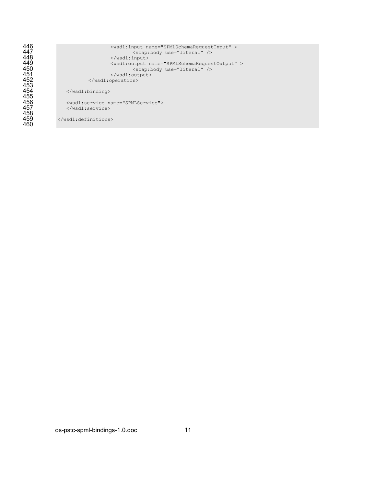<wsdl:input name="SPMLSchemaRequestInput" > <soap:body use="literal" />  $\langle$ /wsdl:input> <wsdl:output name="SPMLSchemaRequestOutput" > <soap:body use="literal" /> </wsdl:output>  $\langle$ /wsdl:operation>  $\langle$ /wsdl:binding> <wsdl:service name="SPMLService">  $\langle$ /wsdl:service>

</wsdl:definitions>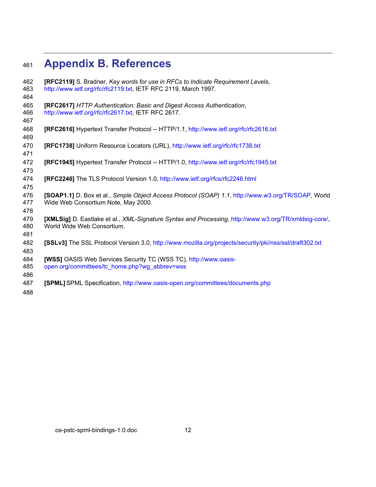## **Appendix B. References**

| 462<br>463<br>464 | [RFC2119] S. Bradner, Key words for use in RFCs to Indicate Requirement Levels,<br>http://www.ietf.org/rfc/rfc2119.txt, IETF RFC 2119, March 1997. |
|-------------------|----------------------------------------------------------------------------------------------------------------------------------------------------|
| 465<br>466<br>467 | [RFC2617] HTTP Authentication: Basic and Digest Access Authentication,<br>http://www.ietf.org/rfc/rfc2617.txt, IETF RFC 2617.                      |
| 468<br>469        | <b>[RFC2616]</b> Hypertext Transfer Protocol -- HTTP/1.1, http://www.ietf.org/rfc/rfc2616.txt                                                      |
| 470<br>471        | [RFC1738] Uniform Resource Locators (URL), http://www.ietf.org/rfc/rfc1738.txt                                                                     |
| 472<br>473        | <b>[RFC1945]</b> Hypertext Transfer Protocol -- HTTP/1.0, http://www.ietf.org/rfc/rfc1945.txt                                                      |
| 474<br>475        | <b>[RFC2246]</b> The TLS Protocol Version 1.0, http://www.ietf.org/rfcs/rfc2246.html                                                               |
| 476<br>477<br>478 | [SOAP1.1] D. Box et al., Simple Object Access Protocol (SOAP) 1.1, http://www.w3.org/TR/SOAP, World<br>Wide Web Consortium Note, May 2000.         |
| 479<br>480<br>481 | [XMLSig] D. Eastlake et al., XML-Signature Syntax and Processing, http://www.w3.org/TR/xmldsig-core/,<br>World Wide Web Consortium.                |
| 482<br>483        | [SSLv3] The SSL Protocol Version 3.0, http://www.mozilla.org/projects/security/pki/nss/ssl/draft302.txt                                            |
| 484<br>485<br>486 | [WSS] OASIS Web Services Security TC (WSS TC), http://www.oasis-<br>open.org/committees/tc_home.php?wg_abbrev=wss                                  |
| 487               | [SPML] SPML Specification, http://www.oasis-open.org/committees/documents.php                                                                      |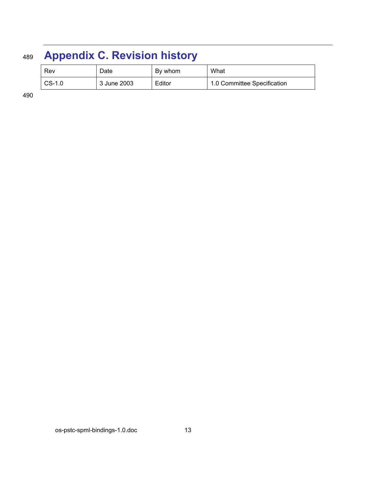## <sup>489</sup>**Appendix C. Revision history**

| Rev      | Date        | By whom | What                        |
|----------|-------------|---------|-----------------------------|
| $CS-1.0$ | 3 June 2003 | Editor  | 1.0 Committee Specification |

490